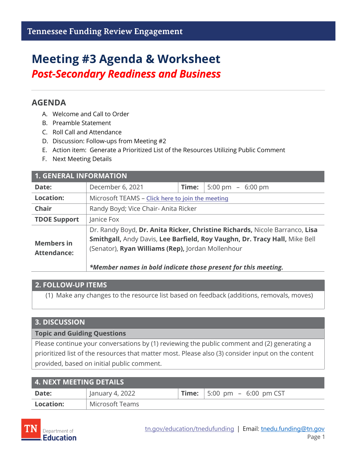# **Meeting #3 Agenda & Worksheet** *Post-Secondary Readiness and Business*

### **AGENDA**

- A. Welcome and Call to Order
- B. Preamble Statement
- C. Roll Call and Attendance
- D. Discussion: Follow-ups from Meeting #2
- E. Action item: Generate a Prioritized List of the Resources Utilizing Public Comment
- F. Next Meeting Details

| <b>1. GENERAL INFORMATION</b>           |                                                                                                                                                                                                                                                                                  |       |                    |  |
|-----------------------------------------|----------------------------------------------------------------------------------------------------------------------------------------------------------------------------------------------------------------------------------------------------------------------------------|-------|--------------------|--|
| Date:                                   | December 6, 2021                                                                                                                                                                                                                                                                 | Time: | 5:00 pm $-6:00$ pm |  |
| <b>Location:</b>                        | Microsoft TEAMS - Click here to join the meeting                                                                                                                                                                                                                                 |       |                    |  |
| <b>Chair</b>                            | Randy Boyd; Vice Chair- Anita Ricker                                                                                                                                                                                                                                             |       |                    |  |
| <b>TDOE Support</b>                     | Janice Fox                                                                                                                                                                                                                                                                       |       |                    |  |
| <b>Members in</b><br><b>Attendance:</b> | Dr. Randy Boyd, Dr. Anita Ricker, Christine Richards, Nicole Barranco, Lisa<br>Smithgall, Andy Davis, Lee Barfield, Roy Vaughn, Dr. Tracy Hall, Mike Bell<br>(Senator), Ryan Williams (Rep), Jordan Mollenhour<br>*Member names in bold indicate those present for this meeting. |       |                    |  |

#### **2. FOLLOW-UP ITEMS**

(1) Make any changes to the resource list based on feedback (additions, removals, moves)

#### **3. DISCUSSION**

**Topic and Guiding Questions**

Please continue your conversations by (1) reviewing the public comment and (2) generating a prioritized list of the resources that matter most. Please also (3) consider input on the content provided, based on initial public comment.

| 4. NEXT MEETING DETAILS |                 |  |                                            |  |
|-------------------------|-----------------|--|--------------------------------------------|--|
| Date:                   | January 4, 2022 |  | <b>Time:</b> $\vert$ 5:00 pm - 6:00 pm CST |  |
| Location:               | Microsoft Teams |  |                                            |  |